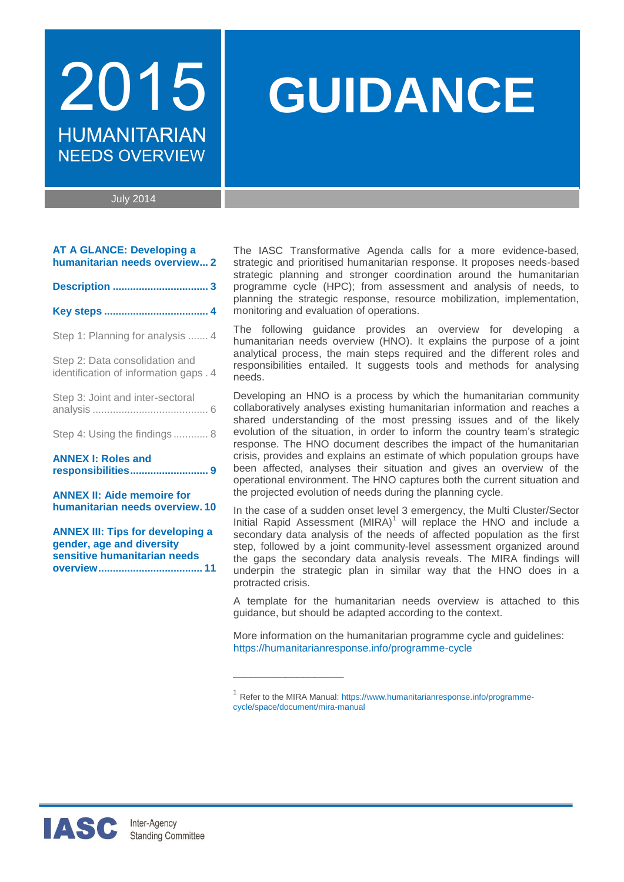# **HUMANITARIAN NEEDS OVERVIEW**

# 2015 **GUIDANCE**

July 2014

|  |  | <b>AT A GLANCE: Developing a</b> |  |  |
|--|--|----------------------------------|--|--|
|  |  | humanitarian needs overview 2    |  |  |

|--|--|--|

|--|--|--|

[Step 1: Planning for analysis](#page-3-0) ....... 4

[Step 2: Data consolidation and](#page-3-1)  [identification of information gaps](#page-3-1) . 4

|  | Step 3: Joint and inter-sectoral |  |
|--|----------------------------------|--|
|  |                                  |  |

[Step 4: Using the findings](#page-6-0) ............ 8

**[ANNEX I: Roles and](#page-8-0)  [responsibilities...........................](#page-8-0) 9**

**[ANNEX II: Aide memoire for](#page-9-0)  [humanitarian needs overview.](#page-9-0) 10**

**[ANNEX III: Tips for developing a](#page-10-0)  [gender, age and diversity](#page-10-0)  [sensitive humanitarian needs](#page-10-0)  [overview....................................](#page-10-0) 11** The IASC Transformative Agenda calls for a more evidence-based, strategic and prioritised humanitarian response. It proposes needs-based strategic planning and stronger coordination around the humanitarian programme cycle (HPC); from assessment and analysis of needs, to planning the strategic response, resource mobilization, implementation, monitoring and evaluation of operations.

The following guidance provides an overview for developing a humanitarian needs overview (HNO). It explains the purpose of a joint analytical process, the main steps required and the different roles and responsibilities entailed. It suggests tools and methods for analysing needs.

Developing an HNO is a process by which the humanitarian community collaboratively analyses existing humanitarian information and reaches a shared understanding of the most pressing issues and of the likely evolution of the situation, in order to inform the country team's strategic response. The HNO document describes the impact of the humanitarian crisis, provides and explains an estimate of which population groups have been affected, analyses their situation and gives an overview of the operational environment. The HNO captures both the current situation and the projected evolution of needs during the planning cycle.

In the case of a sudden onset level 3 emergency, the Multi Cluster/Sector Initial Rapid Assessment  $(MIRA)^1$  will replace the HNO and include a secondary data analysis of the needs of affected population as the first step, followed by a joint community-level assessment organized around the gaps the secondary data analysis reveals. The MIRA findings will underpin the strategic plan in similar way that the HNO does in a protracted crisis.

A template for the humanitarian needs overview is attached to this guidance, but should be adapted according to the context.

More information on the humanitarian programme cycle and guidelines: <https://humanitarianresponse.info/programme-cycle>

\_\_\_\_\_\_\_\_\_\_\_\_\_\_\_\_\_\_\_



<sup>&</sup>lt;sup>1</sup> Refer to the MIRA Manual: [https://www.humanitarianresponse.info/programme](https://www.humanitarianresponse.info/programme-cycle/space/document/mira-manual)[cycle/space/document/mira-manual](https://www.humanitarianresponse.info/programme-cycle/space/document/mira-manual)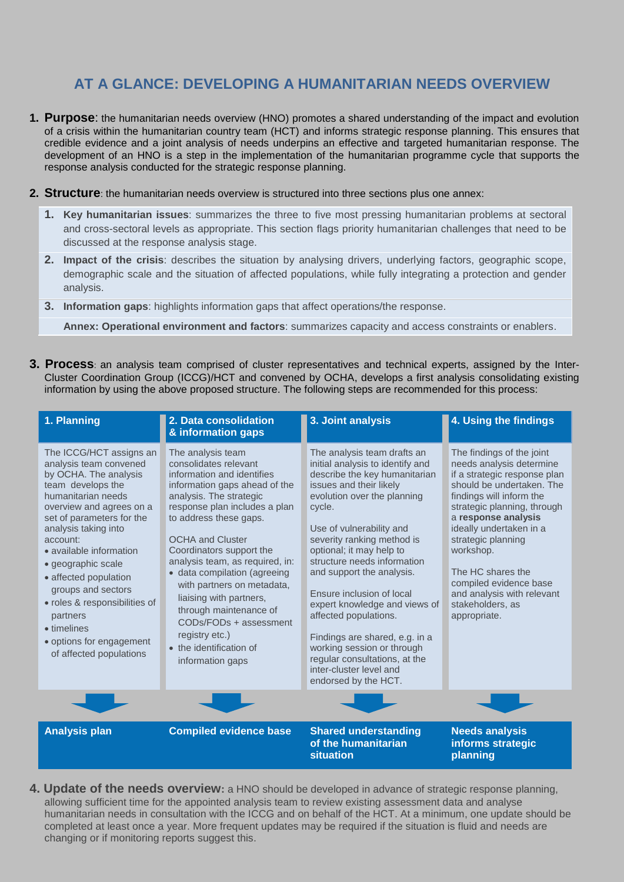# <span id="page-1-0"></span>**AT A GLANCE: DEVELOPING A HUMANITARIAN NEEDS OVERVIEW**

- **1. Purpose**: the humanitarian needs overview (HNO) promotes a shared understanding of the impact and evolution of a crisis within the humanitarian country team (HCT) and informs strategic response planning. This ensures that credible evidence and a joint analysis of needs underpins an effective and targeted humanitarian response. The development of an HNO is a step in the implementation of the humanitarian programme cycle that supports the response analysis conducted for the strategic response planning.
- **2. Structure**: the humanitarian needs overview is structured into three sections plus one annex:
	- **1. Key humanitarian issues**: summarizes the three to five most pressing humanitarian problems at sectoral and cross-sectoral levels as appropriate. This section flags priority humanitarian challenges that need to be discussed at the response analysis stage.
	- **2. Impact of the crisis**: describes the situation by analysing drivers, underlying factors, geographic scope, demographic scale and the situation of affected populations, while fully integrating a protection and gender analysis.
	- **3. Information gaps**: highlights information gaps that affect operations/the response.

**Annex: Operational environment and factors**: summarizes capacity and access constraints or enablers.

**3. Process**: an analysis team comprised of cluster representatives and technical experts, assigned by the Inter-Cluster Coordination Group (ICCG)/HCT and convened by OCHA, develops a first analysis consolidating existing information by using the above proposed structure. The following steps are recommended for this process:

| 1. Planning                                                                                                                                                                                                                                                                                                                                                                                                                           | 2. Data consolidation<br>& information gaps                                                                                                                                                                                                                                                                                                                                                                                                                                                             | 3. Joint analysis                                                                                                                                                                                                                                                                                                                                                                                                                                                                                                                                                 | 4. Using the findings                                                                                                                                                                                                                                                                                                                                                               |
|---------------------------------------------------------------------------------------------------------------------------------------------------------------------------------------------------------------------------------------------------------------------------------------------------------------------------------------------------------------------------------------------------------------------------------------|---------------------------------------------------------------------------------------------------------------------------------------------------------------------------------------------------------------------------------------------------------------------------------------------------------------------------------------------------------------------------------------------------------------------------------------------------------------------------------------------------------|-------------------------------------------------------------------------------------------------------------------------------------------------------------------------------------------------------------------------------------------------------------------------------------------------------------------------------------------------------------------------------------------------------------------------------------------------------------------------------------------------------------------------------------------------------------------|-------------------------------------------------------------------------------------------------------------------------------------------------------------------------------------------------------------------------------------------------------------------------------------------------------------------------------------------------------------------------------------|
| The ICCG/HCT assigns an<br>analysis team convened<br>by OCHA. The analysis<br>team develops the<br>humanitarian needs<br>overview and agrees on a<br>set of parameters for the<br>analysis taking into<br>account:<br>• available information<br>· geographic scale<br>• affected population<br>groups and sectors<br>· roles & responsibilities of<br>partners<br>• timelines<br>• options for engagement<br>of affected populations | The analysis team<br>consolidates relevant<br>information and identifies<br>information gaps ahead of the<br>analysis. The strategic<br>response plan includes a plan<br>to address these gaps.<br><b>OCHA and Cluster</b><br>Coordinators support the<br>analysis team, as required, in:<br>• data compilation (agreeing<br>with partners on metadata,<br>liaising with partners,<br>through maintenance of<br>CODs/FODs + assessment<br>registry etc.)<br>• the identification of<br>information gaps | The analysis team drafts an<br>initial analysis to identify and<br>describe the key humanitarian<br>issues and their likely<br>evolution over the planning<br>cycle.<br>Use of vulnerability and<br>severity ranking method is<br>optional; it may help to<br>structure needs information<br>and support the analysis.<br>Ensure inclusion of local<br>expert knowledge and views of<br>affected populations.<br>Findings are shared, e.g. in a<br>working session or through<br>regular consultations, at the<br>inter-cluster level and<br>endorsed by the HCT. | The findings of the joint<br>needs analysis determine<br>if a strategic response plan<br>should be undertaken. The<br>findings will inform the<br>strategic planning, through<br>a response analysis<br>ideally undertaken in a<br>strategic planning<br>workshop.<br>The HC shares the<br>compiled evidence base<br>and analysis with relevant<br>stakeholders, as<br>appropriate. |
|                                                                                                                                                                                                                                                                                                                                                                                                                                       |                                                                                                                                                                                                                                                                                                                                                                                                                                                                                                         |                                                                                                                                                                                                                                                                                                                                                                                                                                                                                                                                                                   |                                                                                                                                                                                                                                                                                                                                                                                     |
| <b>Analysis plan</b>                                                                                                                                                                                                                                                                                                                                                                                                                  | <b>Compiled evidence base</b>                                                                                                                                                                                                                                                                                                                                                                                                                                                                           | <b>Shared understanding</b><br>of the humanitarian<br>situation                                                                                                                                                                                                                                                                                                                                                                                                                                                                                                   | <b>Needs analysis</b><br>informs strategic<br>planning                                                                                                                                                                                                                                                                                                                              |

**4. Update of the needs overview:** a HNO should be developed in advance of strategic response planning, allowing sufficient time for the appointed analysis team to review existing assessment data and analyse humanitarian needs in consultation with the ICCG and on behalf of the HCT. At a minimum, one update should be completed at least once a year. More frequent updates may be required if the situation is fluid and needs are changing or if monitoring reports suggest this.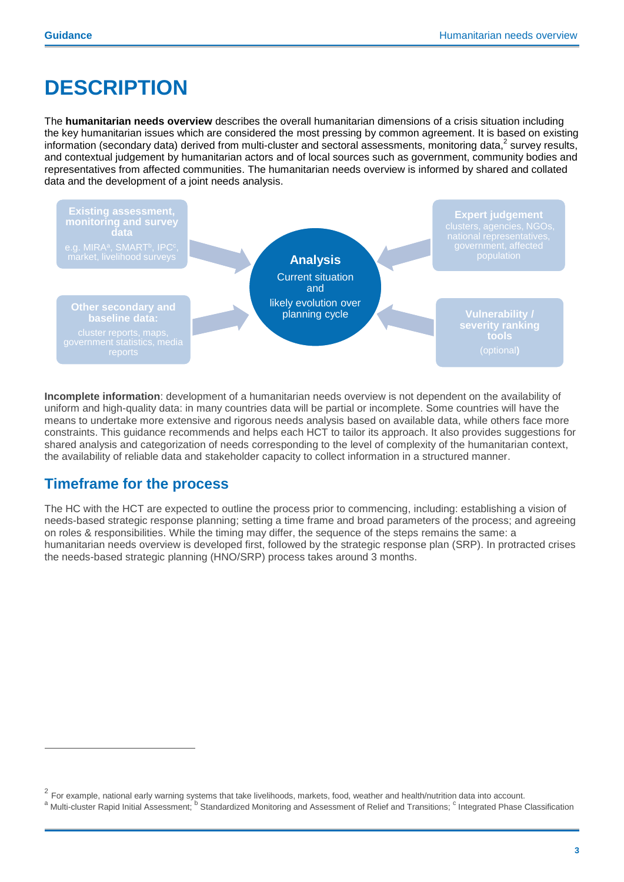# <span id="page-2-0"></span>**DESCRIPTION**

The **humanitarian needs overview** describes the overall humanitarian dimensions of a crisis situation including the key humanitarian issues which are considered the most pressing by common agreement. It is based on existing information (secondary data) derived from multi-cluster and sectoral assessments, monitoring data,<sup>2</sup> survey results, and contextual judgement by humanitarian actors and of local sources such as government, community bodies and representatives from affected communities. The humanitarian needs overview is informed by shared and collated data and the development of a joint needs analysis.



**Incomplete information**: development of a humanitarian needs overview is not dependent on the availability of uniform and high-quality data: in many countries data will be partial or incomplete. Some countries will have the means to undertake more extensive and rigorous needs analysis based on available data, while others face more constraints. This guidance recommends and helps each HCT to tailor its approach. It also provides suggestions for shared analysis and categorization of needs corresponding to the level of complexity of the humanitarian context, the availability of reliable data and stakeholder capacity to collect information in a structured manner.

## **Timeframe for the process**

 $\overline{a}$ 

<span id="page-2-1"></span>The HC with the HCT are expected to outline the process prior to commencing, including: establishing a vision of needs-based strategic response planning; setting a time frame and broad parameters of the process; and agreeing on roles & responsibilities. While the timing may differ, the sequence of the steps remains the same: a humanitarian needs overview is developed first, followed by the strategic response plan (SRP). In protracted crises the needs-based strategic planning (HNO/SRP) process takes around 3 months.

 $^2$  For example, national early warning systems that take livelihoods, markets, food, weather and health/nutrition data into account.

a Multi-cluster Rapid Initial Assessment; <sup>b</sup> Standardized Monitoring and Assessment of Relief and Transitions; <sup>c</sup> Integrated Phase Classification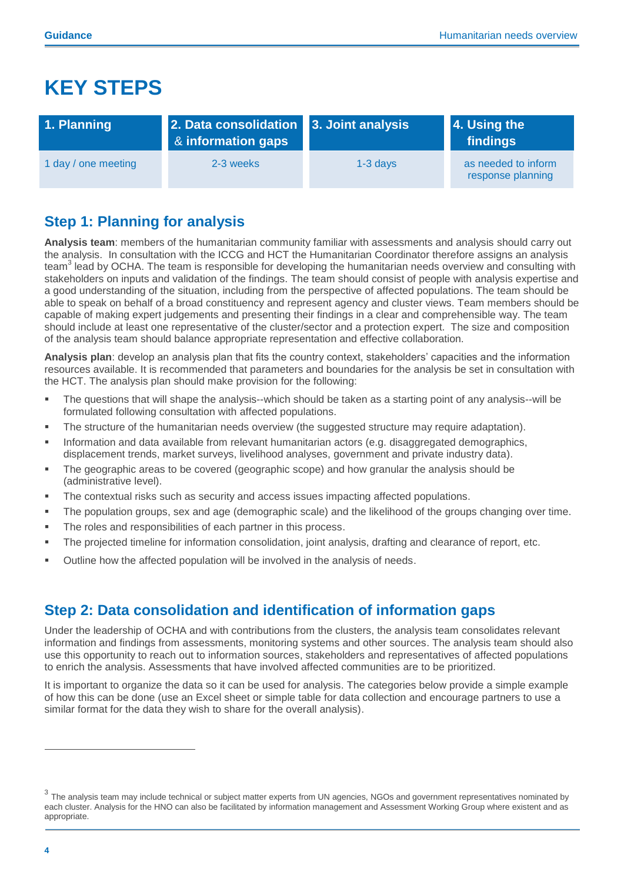# **KEY STEPS**

| 1. Planning         | 2. Data consolidation 3. Joint analysis<br>8 information gaps |            | 4. Using the<br>  findings               |
|---------------------|---------------------------------------------------------------|------------|------------------------------------------|
| 1 day / one meeting | 2-3 weeks                                                     | $1-3$ davs | as needed to inform<br>response planning |

# <span id="page-3-0"></span>**Step 1: Planning for analysis**

**Analysis team**: members of the humanitarian community familiar with assessments and analysis should carry out the analysis. In consultation with the ICCG and HCT the Humanitarian Coordinator therefore assigns an analysis team<sup>3</sup> lead by OCHA. The team is responsible for developing the humanitarian needs overview and consulting with stakeholders on inputs and validation of the findings. The team should consist of people with analysis expertise and a good understanding of the situation, including from the perspective of affected populations. The team should be able to speak on behalf of a broad constituency and represent agency and cluster views. Team members should be capable of making expert judgements and presenting their findings in a clear and comprehensible way. The team should include at least one representative of the cluster/sector and a protection expert. The size and composition of the analysis team should balance appropriate representation and effective collaboration.

**Analysis plan**: develop an analysis plan that fits the country context, stakeholders' capacities and the information resources available. It is recommended that parameters and boundaries for the analysis be set in consultation with the HCT. The analysis plan should make provision for the following:

- The questions that will shape the analysis--which should be taken as a starting point of any analysis--will be formulated following consultation with affected populations.
- The structure of the humanitarian needs overview (the suggested structure may require adaptation).
- **Information and data available from relevant humanitarian actors (e.g. disaggregated demographics,** displacement trends, market surveys, livelihood analyses, government and private industry data).
- The geographic areas to be covered (geographic scope) and how granular the analysis should be (administrative level).
- The contextual risks such as security and access issues impacting affected populations.
- The population groups, sex and age (demographic scale) and the likelihood of the groups changing over time.
- **The roles and responsibilities of each partner in this process.**
- The projected timeline for information consolidation, joint analysis, drafting and clearance of report, etc.
- Outline how the affected population will be involved in the analysis of needs.

## <span id="page-3-1"></span>**Step 2: Data consolidation and identification of information gaps**

Under the leadership of OCHA and with contributions from the clusters, the analysis team consolidates relevant information and findings from assessments, monitoring systems and other sources. The analysis team should also use this opportunity to reach out to information sources, stakeholders and representatives of affected populations to enrich the analysis. Assessments that have involved affected communities are to be prioritized.

It is important to organize the data so it can be used for analysis. The categories below provide a simple example of how this can be done (use an Excel sheet or simple table for data collection and encourage partners to use a similar format for the data they wish to share for the overall analysis).

<sup>&</sup>lt;sup>3</sup> The analysis team may include technical or subject matter experts from UN agencies, NGOs and government representatives nominated by each cluster. Analysis for the HNO can also be facilitated by information management and Assessment Working Group where existent and as appropriate.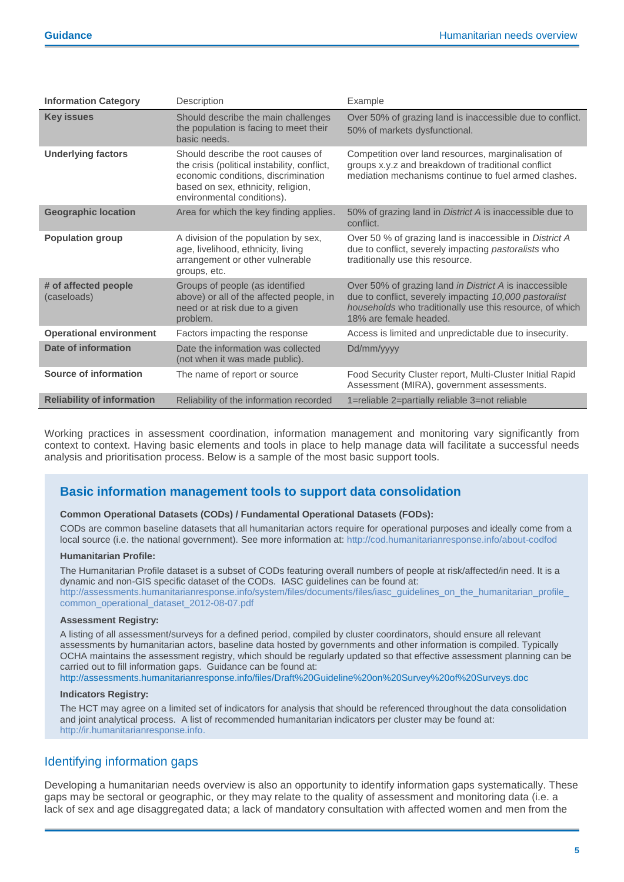| <b>Information Category</b>         | Description                                                                                                                                                                                   | Example                                                                                                                                                                                                |
|-------------------------------------|-----------------------------------------------------------------------------------------------------------------------------------------------------------------------------------------------|--------------------------------------------------------------------------------------------------------------------------------------------------------------------------------------------------------|
| <b>Key issues</b>                   | Should describe the main challenges<br>the population is facing to meet their<br>basic needs.                                                                                                 | Over 50% of grazing land is inaccessible due to conflict.<br>50% of markets dysfunctional.                                                                                                             |
| <b>Underlying factors</b>           | Should describe the root causes of<br>the crisis (political instability, conflict,<br>economic conditions, discrimination<br>based on sex, ethnicity, religion,<br>environmental conditions). | Competition over land resources, marginalisation of<br>groups x.y.z and breakdown of traditional conflict<br>mediation mechanisms continue to fuel armed clashes.                                      |
| <b>Geographic location</b>          | Area for which the key finding applies.                                                                                                                                                       | 50% of grazing land in District A is inaccessible due to<br>conflict.                                                                                                                                  |
| <b>Population group</b>             | A division of the population by sex,<br>age, livelihood, ethnicity, living<br>arrangement or other vulnerable<br>groups, etc.                                                                 | Over 50 % of grazing land is inaccessible in District A<br>due to conflict, severely impacting pastoralists who<br>traditionally use this resource.                                                    |
| # of affected people<br>(caseloads) | Groups of people (as identified<br>above) or all of the affected people, in<br>need or at risk due to a given<br>problem.                                                                     | Over 50% of grazing land in District A is inaccessible<br>due to conflict, severely impacting 10,000 pastoralist<br>households who traditionally use this resource, of which<br>18% are female headed. |
| <b>Operational environment</b>      | Factors impacting the response                                                                                                                                                                | Access is limited and unpredictable due to insecurity.                                                                                                                                                 |
| Date of information                 | Date the information was collected<br>(not when it was made public).                                                                                                                          | Dd/mm/yyyy                                                                                                                                                                                             |
| Source of information               | The name of report or source                                                                                                                                                                  | Food Security Cluster report, Multi-Cluster Initial Rapid<br>Assessment (MIRA), government assessments.                                                                                                |
| <b>Reliability of information</b>   | Reliability of the information recorded                                                                                                                                                       | 1=reliable 2=partially reliable 3=not reliable                                                                                                                                                         |

Working practices in assessment coordination, information management and monitoring vary significantly from context to context. Having basic elements and tools in place to help manage data will facilitate a successful needs analysis and prioritisation process. Below is a sample of the most basic support tools.

#### **Basic information management tools to support data consolidation**

#### **Common Operational Datasets (CODs) / Fundamental Operational Datasets (FODs):**

CODs are common baseline datasets that all humanitarian actors require for operational purposes and ideally come from a local source (i.e. the national government). See more information at:<http://cod.humanitarianresponse.info/about-codfod>

#### **Humanitarian Profile:**

The Humanitarian Profile dataset is a subset of CODs featuring overall numbers of people at risk/affected/in need. It is a dynamic and non-GIS specific dataset of the CODs. IASC guidelines can be found at: [http://assessments.humanitarianresponse.info/system/files/documents/files/iasc\\_guidelines\\_on\\_the\\_humanitarian\\_profile\\_](http://assessments.humanitarianresponse.info/system/files/documents/files/iasc_guidelines_on_the_humanitarian_profile_common_operational_dataset_2012-08-07.pdf) [common\\_operational\\_dataset\\_2012-08-07.pdf](http://assessments.humanitarianresponse.info/system/files/documents/files/iasc_guidelines_on_the_humanitarian_profile_common_operational_dataset_2012-08-07.pdf)

#### **Assessment Registry:**

A listing of all assessment/surveys for a defined period, compiled by cluster coordinators, should ensure all relevant assessments by humanitarian actors, baseline data hosted by governments and other information is compiled. Typically OCHA maintains the assessment registry, which should be regularly updated so that effective assessment planning can be carried out to fill information gaps. Guidance can be found at:

<http://assessments.humanitarianresponse.info/files/Draft%20Guideline%20on%20Survey%20of%20Surveys.doc>

#### **Indicators Registry:**

The HCT may agree on a limited set of indicators for analysis that should be referenced throughout the data consolidation and joint analytical process. A list of recommended humanitarian indicators per cluster may be found at: [http://ir.humanitarianresponse.info.](http://ir.humanitarianresponse.info/)

#### Identifying information gaps

Developing a humanitarian needs overview is also an opportunity to identify information gaps systematically. These gaps may be sectoral or geographic, or they may relate to the quality of assessment and monitoring data (i.e. a lack of sex and age disaggregated data; a lack of mandatory consultation with affected women and men from the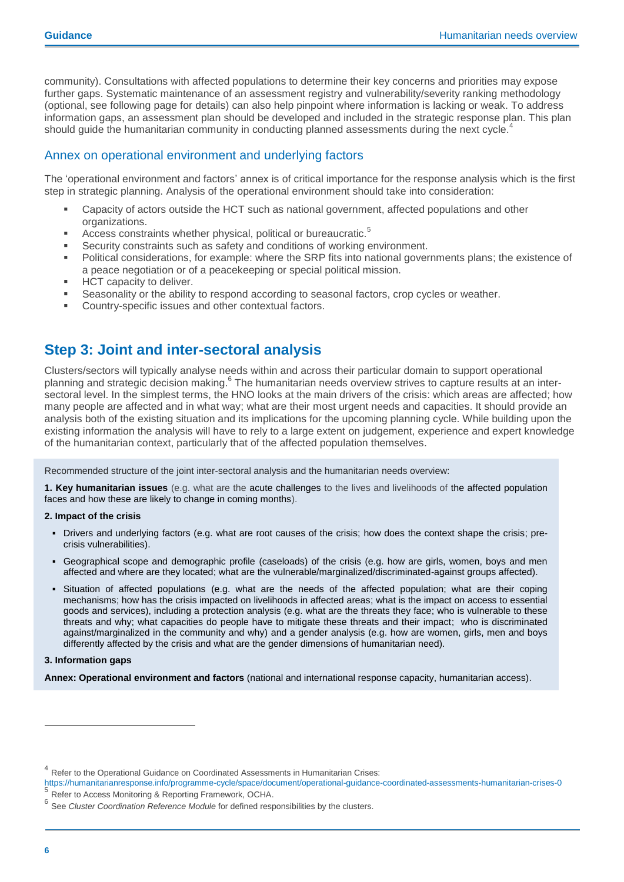community). Consultations with affected populations to determine their key concerns and priorities may expose further gaps. Systematic maintenance of an assessment registry and vulnerability/severity ranking methodology (optional, see following page for details) can also help pinpoint where information is lacking or weak. To address information gaps, an assessment plan should be developed and included in the strategic response plan. This plan should guide the humanitarian community in conducting planned assessments during the next cycle.<sup>4</sup>

#### Annex on operational environment and underlying factors

The 'operational environment and factors' annex is of critical importance for the response analysis which is the first step in strategic planning. Analysis of the operational environment should take into consideration:

- Capacity of actors outside the HCT such as national government, affected populations and other organizations.
- Access constraints whether physical, political or bureaucratic.<sup>5</sup>
- Security constraints such as safety and conditions of working environment.
- Political considerations, for example: where the SRP fits into national governments plans; the existence of a peace negotiation or of a peacekeeping or special political mission.
- HCT capacity to deliver.
- Seasonality or the ability to respond according to seasonal factors, crop cycles or weather.
- Country-specific issues and other contextual factors.

## <span id="page-5-0"></span>**Step 3: Joint and inter-sectoral analysis**

Clusters/sectors will typically analyse needs within and across their particular domain to support operational planning and strategic decision making. <sup>6</sup> The humanitarian needs overview strives to capture results at an intersectoral level. In the simplest terms, the HNO looks at the main drivers of the crisis: which areas are affected; how many people are affected and in what way; what are their most urgent needs and capacities. It should provide an analysis both of the existing situation and its implications for the upcoming planning cycle. While building upon the existing information the analysis will have to rely to a large extent on judgement, experience and expert knowledge of the humanitarian context, particularly that of the affected population themselves.

Recommended structure of the joint inter-sectoral analysis and the humanitarian needs overview:

**1. Key humanitarian issues** (e.g. what are the acute challenges to the lives and livelihoods of the affected population faces and how these are likely to change in coming months).

#### **2. Impact of the crisis**

- Drivers and underlying factors (e.g. what are root causes of the crisis; how does the context shape the crisis; precrisis vulnerabilities).
- Geographical scope and demographic profile (caseloads) of the crisis (e.g. how are girls, women, boys and men affected and where are they located; what are the vulnerable/marginalized/discriminated-against groups affected).
- Situation of affected populations (e.g. what are the needs of the affected population; what are their coping mechanisms; how has the crisis impacted on livelihoods in affected areas; what is the impact on access to essential goods and services), including a protection analysis (e.g. what are the threats they face; who is vulnerable to these threats and why; what capacities do people have to mitigate these threats and their impact; who is discriminated against/marginalized in the community and why) and a gender analysis (e.g. how are women, girls, men and boys differently affected by the crisis and what are the gender dimensions of humanitarian need).

#### **3. Information gaps**

**Annex: Operational environment and factors** (national and international response capacity, humanitarian access).

<sup>&</sup>lt;sup>4</sup> Refer to the Operational Guidance on Coordinated Assessments in Humanitarian Crises:

<https://humanitarianresponse.info/programme-cycle/space/document/operational-guidance-coordinated-assessments-humanitarian-crises-0> <sup>5</sup> Refer to Access Monitoring & Reporting Framework, OCHA.

<sup>6</sup> See *Cluster Coordination Reference Module* for defined responsibilities by the clusters.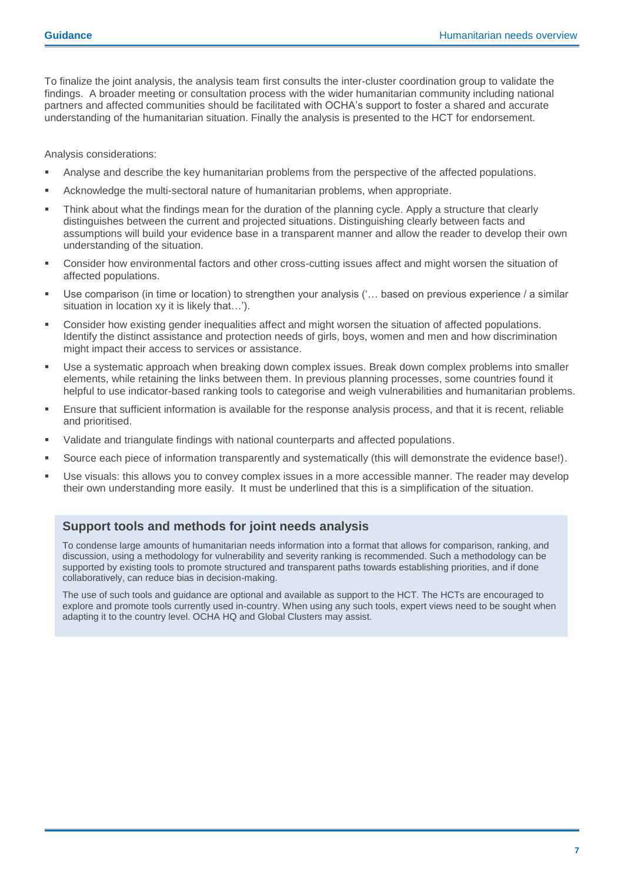To finalize the joint analysis, the analysis team first consults the inter-cluster coordination group to validate the findings. A broader meeting or consultation process with the wider humanitarian community including national partners and affected communities should be facilitated with OCHA's support to foster a shared and accurate understanding of the humanitarian situation. Finally the analysis is presented to the HCT for endorsement.

Analysis considerations:

- Analyse and describe the key humanitarian problems from the perspective of the affected populations.
- Acknowledge the multi-sectoral nature of humanitarian problems, when appropriate.
- Think about what the findings mean for the duration of the planning cycle. Apply a structure that clearly distinguishes between the current and projected situations. Distinguishing clearly between facts and assumptions will build your evidence base in a transparent manner and allow the reader to develop their own understanding of the situation.
- Consider how environmental factors and other cross-cutting issues affect and might worsen the situation of affected populations.
- Use comparison (in time or location) to strengthen your analysis ('… based on previous experience / a similar situation in location xy it is likely that…').
- Consider how existing gender inequalities affect and might worsen the situation of affected populations. Identify the distinct assistance and protection needs of girls, boys, women and men and how discrimination might impact their access to services or assistance.
- Use a systematic approach when breaking down complex issues. Break down complex problems into smaller elements, while retaining the links between them. In previous planning processes, some countries found it helpful to use indicator-based ranking tools to categorise and weigh vulnerabilities and humanitarian problems.
- Ensure that sufficient information is available for the response analysis process, and that it is recent, reliable and prioritised.
- Validate and triangulate findings with national counterparts and affected populations.
- Source each piece of information transparently and systematically (this will demonstrate the evidence base!).
- Use visuals: this allows you to convey complex issues in a more accessible manner. The reader may develop their own understanding more easily. It must be underlined that this is a simplification of the situation.

#### **Support tools and methods for joint needs analysis**

To condense large amounts of humanitarian needs information into a format that allows for comparison, ranking, and discussion, using a methodology for vulnerability and severity ranking is recommended. Such a methodology can be supported by existing tools to promote structured and transparent paths towards establishing priorities, and if done collaboratively, can reduce bias in decision-making.

<span id="page-6-0"></span>The use of such tools and guidance are optional and available as support to the HCT. The HCTs are encouraged to explore and promote tools currently used in-country. When using any such tools, expert views need to be sought when adapting it to the country level. OCHA HQ and Global Clusters may assist.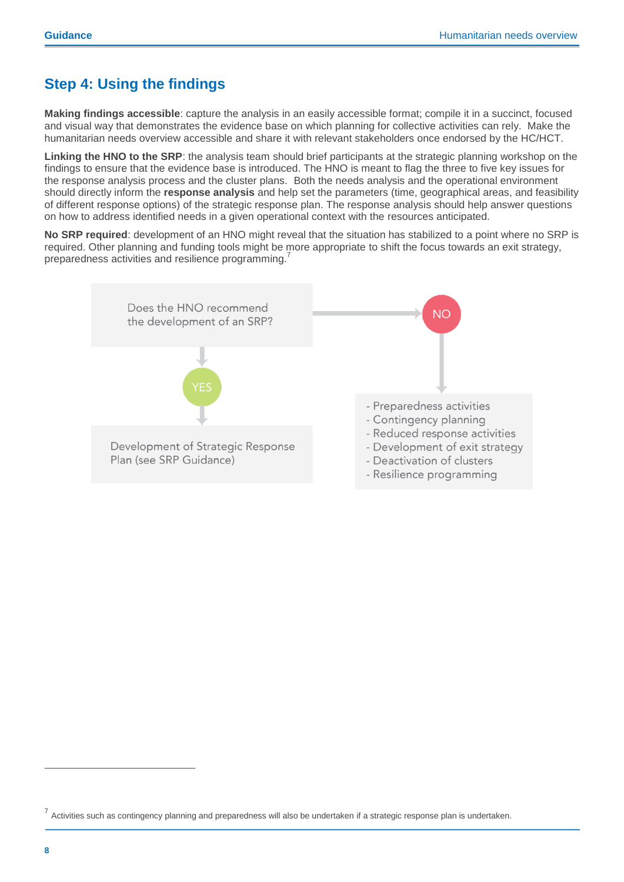# **Step 4: Using the findings**

**Making findings accessible**: capture the analysis in an easily accessible format; compile it in a succinct, focused and visual way that demonstrates the evidence base on which planning for collective activities can rely. Make the humanitarian needs overview accessible and share it with relevant stakeholders once endorsed by the HC/HCT.

**Linking the HNO to the SRP**: the analysis team should brief participants at the strategic planning workshop on the findings to ensure that the evidence base is introduced. The HNO is meant to flag the three to five key issues for the response analysis process and the cluster plans. Both the needs analysis and the operational environment should directly inform the **response analysis** and help set the parameters (time, geographical areas, and feasibility of different response options) of the strategic response plan. The response analysis should help answer questions on how to address identified needs in a given operational context with the resources anticipated.

**No SRP required**: development of an HNO might reveal that the situation has stabilized to a point where no SRP is required. Other planning and funding tools might be more appropriate to shift the focus towards an exit strategy, preparedness activities and resilience programming.<sup>7</sup>



<sup>&</sup>lt;sup>7</sup> Activities such as contingency planning and preparedness will also be undertaken if a strategic response plan is undertaken.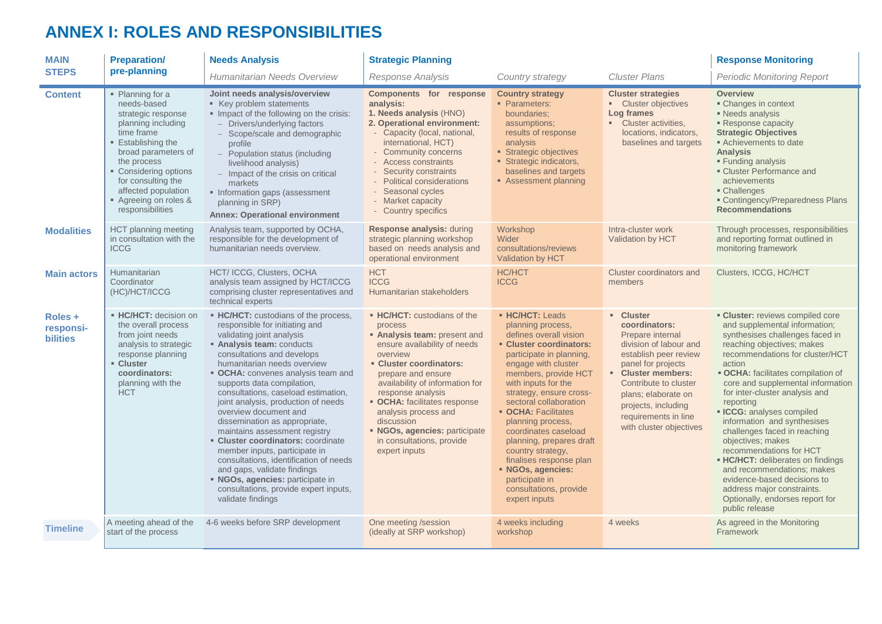# **ANNEX I: ROLES AND RESPONSIBILITIES**

<span id="page-8-0"></span>

| <b>MAIN</b>                             | <b>Preparation/</b>                                                                                                                                                                                                                                                    | <b>Needs Analysis</b>                                                                                                                                                                                                                                                                                                                                                                                                                                                                                                                                                                                                                                                                             | <b>Response Monitoring</b>                                                                                                                                                                                                                                                                                                                                                              |                                                                                                                                                                                                                                                                                                                                                                                                                                                                                                  |                                                                                                                                                                                                                                                                         |                                                                                                                                                                                                                                                                                                                                                                                                                                                                                                                                                                                                                                                                      |
|-----------------------------------------|------------------------------------------------------------------------------------------------------------------------------------------------------------------------------------------------------------------------------------------------------------------------|---------------------------------------------------------------------------------------------------------------------------------------------------------------------------------------------------------------------------------------------------------------------------------------------------------------------------------------------------------------------------------------------------------------------------------------------------------------------------------------------------------------------------------------------------------------------------------------------------------------------------------------------------------------------------------------------------|-----------------------------------------------------------------------------------------------------------------------------------------------------------------------------------------------------------------------------------------------------------------------------------------------------------------------------------------------------------------------------------------|--------------------------------------------------------------------------------------------------------------------------------------------------------------------------------------------------------------------------------------------------------------------------------------------------------------------------------------------------------------------------------------------------------------------------------------------------------------------------------------------------|-------------------------------------------------------------------------------------------------------------------------------------------------------------------------------------------------------------------------------------------------------------------------|----------------------------------------------------------------------------------------------------------------------------------------------------------------------------------------------------------------------------------------------------------------------------------------------------------------------------------------------------------------------------------------------------------------------------------------------------------------------------------------------------------------------------------------------------------------------------------------------------------------------------------------------------------------------|
| <b>STEPS</b>                            | pre-planning                                                                                                                                                                                                                                                           | Humanitarian Needs Overview                                                                                                                                                                                                                                                                                                                                                                                                                                                                                                                                                                                                                                                                       | Response Analysis                                                                                                                                                                                                                                                                                                                                                                       | Country strategy                                                                                                                                                                                                                                                                                                                                                                                                                                                                                 | <b>Cluster Plans</b>                                                                                                                                                                                                                                                    | <b>Periodic Monitoring Report</b>                                                                                                                                                                                                                                                                                                                                                                                                                                                                                                                                                                                                                                    |
| <b>Content</b>                          | • Planning for a<br>needs-based<br>strategic response<br>planning including<br>time frame<br>■ Establishing the<br>broad parameters of<br>the process<br>• Considering options<br>for consulting the<br>affected population<br>Agreeing on roles &<br>responsibilities | Joint needs analysis/overview<br>Key problem statements<br>Impact of the following on the crisis:<br>Drivers/underlying factors<br>Scope/scale and demographic<br>profile<br>- Population status (including<br>livelihood analysis)<br>- Impact of the crisis on critical<br>markets<br>· Information gaps (assessment<br>planning in SRP)<br><b>Annex: Operational environment</b>                                                                                                                                                                                                                                                                                                               | Components for response<br>analysis:<br>1. Needs analysis (HNO)<br>2. Operational environment:<br>- Capacity (local, national,<br>international, HCT)<br>- Community concerns<br>- Access constraints<br>- Security constraints<br><b>Political considerations</b><br>- Seasonal cycles<br>- Market capacity<br>- Country specifics                                                     | <b>Country strategy</b><br>• Parameters:<br>boundaries;<br>assumptions;<br>results of response<br>analysis<br>Strategic objectives<br>Strategic indicators,<br>baselines and targets<br>Assessment planning                                                                                                                                                                                                                                                                                      | <b>Cluster strategies</b><br>• Cluster objectives<br>Log frames<br>• Cluster activities,<br>locations, indicators,<br>baselines and targets                                                                                                                             | <b>Overview</b><br>• Changes in context<br>- Needs analysis<br>Response capacity<br><b>Strategic Objectives</b><br>Achievements to date<br><b>Analysis</b><br><b>Funding analysis</b><br>• Cluster Performance and<br>achievements<br>• Challenges<br><b>Example 1</b> Contingency/Preparedness Plans<br><b>Recommendations</b>                                                                                                                                                                                                                                                                                                                                      |
| <b>Modalities</b>                       | <b>HCT</b> planning meeting<br>in consultation with the<br><b>ICCG</b>                                                                                                                                                                                                 | Analysis team, supported by OCHA,<br>responsible for the development of<br>humanitarian needs overview.                                                                                                                                                                                                                                                                                                                                                                                                                                                                                                                                                                                           | Response analysis: during<br>strategic planning workshop<br>based on needs analysis and<br>operational environment                                                                                                                                                                                                                                                                      | Workshop<br>Wider<br>consultations/reviews<br>Validation by HCT                                                                                                                                                                                                                                                                                                                                                                                                                                  | Intra-cluster work<br>Validation by HCT                                                                                                                                                                                                                                 | Through processes, responsibilities<br>and reporting format outlined in<br>monitoring framework                                                                                                                                                                                                                                                                                                                                                                                                                                                                                                                                                                      |
| <b>Main actors</b>                      | <b>Humanitarian</b><br>Coordinator<br>(HC)/HCT/ICCG                                                                                                                                                                                                                    | HCT/ ICCG, Clusters, OCHA<br>analysis team assigned by HCT/ICCG<br>comprising cluster representatives and<br>technical experts                                                                                                                                                                                                                                                                                                                                                                                                                                                                                                                                                                    | <b>HCT</b><br><b>ICCG</b><br>Humanitarian stakeholders                                                                                                                                                                                                                                                                                                                                  | <b>HC/HCT</b><br><b>ICCG</b>                                                                                                                                                                                                                                                                                                                                                                                                                                                                     | Cluster coordinators and<br>members                                                                                                                                                                                                                                     | Clusters, ICCG, HC/HCT                                                                                                                                                                                                                                                                                                                                                                                                                                                                                                                                                                                                                                               |
| Roles +<br>responsi-<br><b>bilities</b> | • HC/HCT: decision on<br>the overall process<br>from joint needs<br>analysis to strategic<br>response planning<br>• Cluster<br>coordinators:<br>planning with the<br><b>HCT</b>                                                                                        | • HC/HCT: custodians of the process,<br>responsible for initiating and<br>validating joint analysis<br><b>Analysis team: conducts</b><br>consultations and develops<br>humanitarian needs overview<br>• OCHA: convenes analysis team and<br>supports data compilation,<br>consultations, caseload estimation,<br>joint analysis, production of needs<br>overview document and<br>dissemination as appropriate,<br>maintains assessment registry<br>• Cluster coordinators: coordinate<br>member inputs, participate in<br>consultations, identification of needs<br>and gaps, validate findings<br>• NGOs, agencies: participate in<br>consultations, provide expert inputs,<br>validate findings | • HC/HCT: custodians of the<br>process<br>• Analysis team: present and<br>ensure availability of needs<br>overview<br><b>- Cluster coordinators:</b><br>prepare and ensure<br>availability of information for<br>response analysis<br>• OCHA: facilitates response<br>analysis process and<br>discussion<br>• NGOs, agencies: participate<br>in consultations, provide<br>expert inputs | <b>- HC/HCT: Leads</b><br>planning process,<br>defines overall vision<br><b>- Cluster coordinators:</b><br>participate in planning,<br>engage with cluster<br>members, provide HCT<br>with inputs for the<br>strategy, ensure cross-<br>sectoral collaboration<br>• OCHA: Facilitates<br>planning process,<br>coordinates caseload<br>planning, prepares draft<br>country strategy,<br>finalises response plan<br>· NGOs, agencies:<br>participate in<br>consultations, provide<br>expert inputs | - Cluster<br>coordinators:<br>Prepare internal<br>division of labour and<br>establish peer review<br>panel for projects<br>• Cluster members:<br>Contribute to cluster<br>plans; elaborate on<br>projects, including<br>requirements in line<br>with cluster objectives | <b>Cluster:</b> reviews compiled core<br>and supplemental information;<br>synthesises challenges faced in<br>reaching objectives; makes<br>recommendations for cluster/HCT<br>action<br><b>• OCHA:</b> facilitates compilation of<br>core and supplemental information<br>for inter-cluster analysis and<br>reporting<br><b>- ICCG:</b> analyses compiled<br>information and synthesises<br>challenges faced in reaching<br>objectives; makes<br>recommendations for HCT<br><b>- HC/HCT:</b> deliberates on findings<br>and recommendations: makes<br>evidence-based decisions to<br>address major constraints.<br>Optionally, endorses report for<br>public release |
| <b>Timeline</b>                         | A meeting ahead of the<br>start of the process                                                                                                                                                                                                                         | 4-6 weeks before SRP development                                                                                                                                                                                                                                                                                                                                                                                                                                                                                                                                                                                                                                                                  | One meeting /session<br>(ideally at SRP workshop)                                                                                                                                                                                                                                                                                                                                       | 4 weeks including<br>workshop                                                                                                                                                                                                                                                                                                                                                                                                                                                                    | 4 weeks                                                                                                                                                                                                                                                                 | As agreed in the Monitoring<br>Framework                                                                                                                                                                                                                                                                                                                                                                                                                                                                                                                                                                                                                             |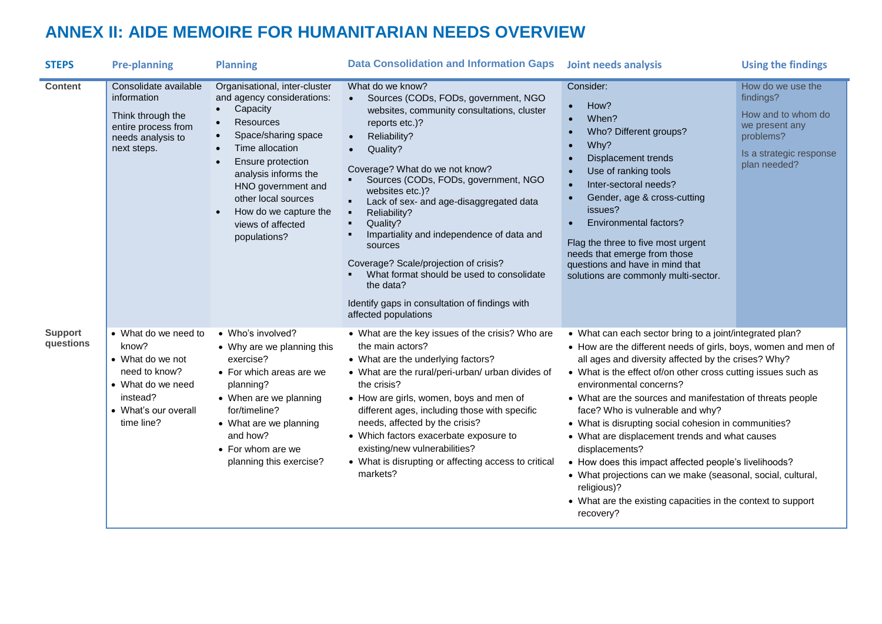# **ANNEX II: AIDE MEMOIRE FOR HUMANITARIAN NEEDS OVERVIEW**

<span id="page-9-0"></span>

| <b>STEPS</b>                | <b>Pre-planning</b>                                                                                                                       | <b>Planning</b>                                                                                                                                                                                                                                                                               | <b>Data Consolidation and Information Gaps</b>                                                                                                                                                                                                                                                                                                                                                                                                                                                                                                                                               | <b>Joint needs analysis</b>                                                                                                                                                                                                                                                                                                                                                                                                                                                                                                                                                                                                                                                                                                     | <b>Using the findings</b>                                                                                                      |
|-----------------------------|-------------------------------------------------------------------------------------------------------------------------------------------|-----------------------------------------------------------------------------------------------------------------------------------------------------------------------------------------------------------------------------------------------------------------------------------------------|----------------------------------------------------------------------------------------------------------------------------------------------------------------------------------------------------------------------------------------------------------------------------------------------------------------------------------------------------------------------------------------------------------------------------------------------------------------------------------------------------------------------------------------------------------------------------------------------|---------------------------------------------------------------------------------------------------------------------------------------------------------------------------------------------------------------------------------------------------------------------------------------------------------------------------------------------------------------------------------------------------------------------------------------------------------------------------------------------------------------------------------------------------------------------------------------------------------------------------------------------------------------------------------------------------------------------------------|--------------------------------------------------------------------------------------------------------------------------------|
| <b>Content</b>              | Consolidate available<br>information<br>Think through the<br>entire process from<br>needs analysis to<br>next steps.                      | Organisational, inter-cluster<br>and agency considerations:<br>Capacity<br><b>Resources</b><br>Space/sharing space<br>Time allocation<br>Ensure protection<br>analysis informs the<br>HNO government and<br>other local sources<br>How do we capture the<br>views of affected<br>populations? | What do we know?<br>Sources (CODs, FODs, government, NGO<br>$\bullet$<br>websites, community consultations, cluster<br>reports etc.)?<br>Reliability?<br>$\bullet$<br>Quality?<br>Coverage? What do we not know?<br>Sources (CODs, FODs, government, NGO<br>websites etc.)?<br>Lack of sex- and age-disaggregated data<br>Reliability?<br>Quality?<br>٠<br>Impartiality and independence of data and<br>sources<br>Coverage? Scale/projection of crisis?<br>What format should be used to consolidate<br>the data?<br>Identify gaps in consultation of findings with<br>affected populations | Consider:<br>How?<br>$\bullet$<br>When?<br>Who? Different groups?<br>Why?<br>Displacement trends<br>Use of ranking tools<br>Inter-sectoral needs?<br>$\bullet$<br>Gender, age & cross-cutting<br>issues?<br><b>Environmental factors?</b><br>Flag the three to five most urgent<br>needs that emerge from those<br>questions and have in mind that<br>solutions are commonly multi-sector.                                                                                                                                                                                                                                                                                                                                      | How do we use the<br>findings?<br>How and to whom do<br>we present any<br>problems?<br>Is a strategic response<br>plan needed? |
| <b>Support</b><br>questions | • What do we need to<br>know?<br>• What do we not<br>need to know?<br>• What do we need<br>instead?<br>• What's our overall<br>time line? | • Who's involved?<br>• Why are we planning this<br>exercise?<br>• For which areas are we<br>planning?<br>• When are we planning<br>for/timeline?<br>• What are we planning<br>and how?<br>• For whom are we<br>planning this exercise?                                                        | • What are the key issues of the crisis? Who are<br>the main actors?<br>• What are the underlying factors?<br>• What are the rural/peri-urban/ urban divides of<br>the crisis?<br>• How are girls, women, boys and men of<br>different ages, including those with specific<br>needs, affected by the crisis?<br>• Which factors exacerbate exposure to<br>existing/new vulnerabilities?<br>• What is disrupting or affecting access to critical<br>markets?                                                                                                                                  | • What can each sector bring to a joint/integrated plan?<br>• How are the different needs of girls, boys, women and men of<br>all ages and diversity affected by the crises? Why?<br>• What is the effect of/on other cross cutting issues such as<br>environmental concerns?<br>• What are the sources and manifestation of threats people<br>face? Who is vulnerable and why?<br>• What is disrupting social cohesion in communities?<br>• What are displacement trends and what causes<br>displacements?<br>• How does this impact affected people's livelihoods?<br>• What projections can we make (seasonal, social, cultural,<br>religious)?<br>• What are the existing capacities in the context to support<br>recovery? |                                                                                                                                |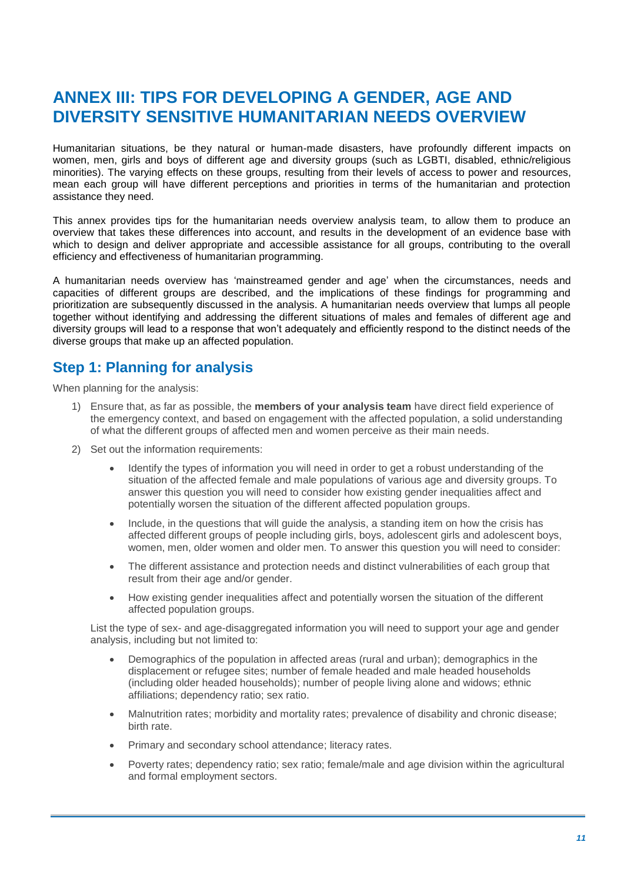# <span id="page-10-0"></span>**ANNEX III: TIPS FOR DEVELOPING A GENDER, AGE AND DIVERSITY SENSITIVE HUMANITARIAN NEEDS OVERVIEW**

Humanitarian situations, be they natural or human-made disasters, have profoundly different impacts on women, men, girls and boys of different age and diversity groups (such as LGBTI, disabled, ethnic/religious minorities). The varying effects on these groups, resulting from their levels of access to power and resources, mean each group will have different perceptions and priorities in terms of the humanitarian and protection assistance they need.

This annex provides tips for the humanitarian needs overview analysis team, to allow them to produce an overview that takes these differences into account, and results in the development of an evidence base with which to design and deliver appropriate and accessible assistance for all groups, contributing to the overall efficiency and effectiveness of humanitarian programming.

A humanitarian needs overview has 'mainstreamed gender and age' when the circumstances, needs and capacities of different groups are described, and the implications of these findings for programming and prioritization are subsequently discussed in the analysis. A humanitarian needs overview that lumps all people together without identifying and addressing the different situations of males and females of different age and diversity groups will lead to a response that won't adequately and efficiently respond to the distinct needs of the diverse groups that make up an affected population.

# **Step 1: Planning for analysis**

When planning for the analysis:

- 1) Ensure that, as far as possible, the **members of your analysis team** have direct field experience of the emergency context, and based on engagement with the affected population, a solid understanding of what the different groups of affected men and women perceive as their main needs.
- 2) Set out the information requirements:
	- Identify the types of information you will need in order to get a robust understanding of the situation of the affected female and male populations of various age and diversity groups. To answer this question you will need to consider how existing gender inequalities affect and potentially worsen the situation of the different affected population groups.
	- Include, in the questions that will quide the analysis, a standing item on how the crisis has affected different groups of people including girls, boys, adolescent girls and adolescent boys, women, men, older women and older men. To answer this question you will need to consider:
	- The different assistance and protection needs and distinct vulnerabilities of each group that result from their age and/or gender.
	- How existing gender inequalities affect and potentially worsen the situation of the different affected population groups.

List the type of sex- and age-disaggregated information you will need to support your age and gender analysis, including but not limited to:

- Demographics of the population in affected areas (rural and urban); demographics in the displacement or refugee sites; number of female headed and male headed households (including older headed households); number of people living alone and widows; ethnic affiliations; dependency ratio; sex ratio.
- Malnutrition rates; morbidity and mortality rates; prevalence of disability and chronic disease; birth rate.
- Primary and secondary school attendance; literacy rates.
- Poverty rates; dependency ratio; sex ratio; female/male and age division within the agricultural and formal employment sectors.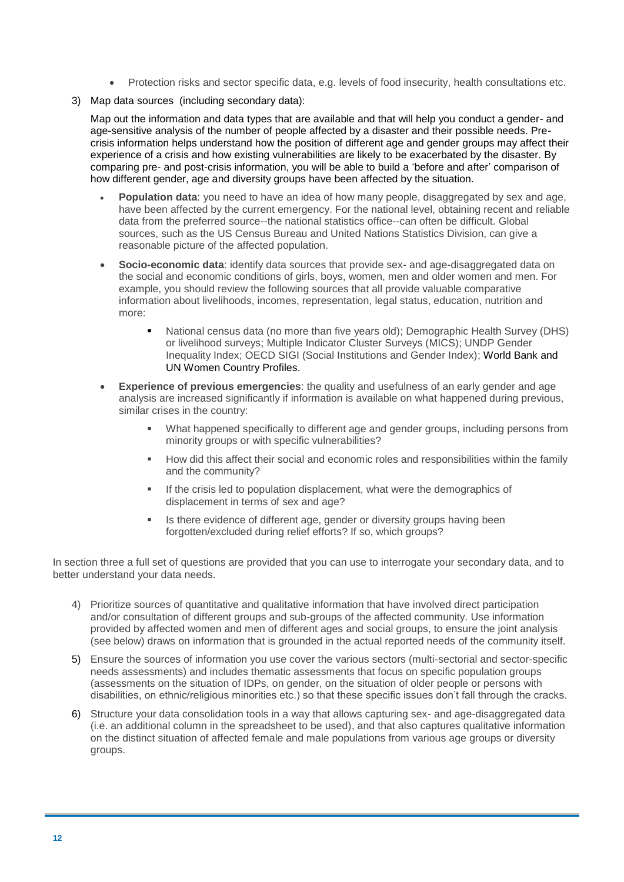- Protection risks and sector specific data, e.g. levels of food insecurity, health consultations etc.
- 3) Map data sources (including secondary data):

Map out the information and data types that are available and that will help you conduct a gender- and age-sensitive analysis of the number of people affected by a disaster and their possible needs. Precrisis information helps understand how the position of different age and gender groups may affect their experience of a crisis and how existing vulnerabilities are likely to be exacerbated by the disaster. By comparing pre- and post-crisis information, you will be able to build a 'before and after' comparison of how different gender, age and diversity groups have been affected by the situation.

- **Population data:** you need to have an idea of how many people, disaggregated by sex and age, have been affected by the current emergency. For the national level, obtaining recent and reliable data from the preferred source--the national statistics office--can often be difficult. Global sources, such as the US Census Bureau and United Nations Statistics Division, can give a reasonable picture of the affected population.
- **Socio-economic data:** identify data sources that provide sex- and age-disaggregated data on the social and economic conditions of girls, boys, women, men and older women and men. For example, you should review the following sources that all provide valuable comparative information about livelihoods, incomes, representation, legal status, education, nutrition and more:
	- National census data (no more than five years old); Demographic Health Survey (DHS) or livelihood surveys; Multiple Indicator Cluster Surveys (MICS); UNDP Gender Inequality Index; OECD SIGI (Social Institutions and Gender Index); World Bank and UN Women Country Profiles.
- **Experience of previous emergencies**: the quality and usefulness of an early gender and age analysis are increased significantly if information is available on what happened during previous, similar crises in the country:
	- What happened specifically to different age and gender groups, including persons from minority groups or with specific vulnerabilities?
	- How did this affect their social and economic roles and responsibilities within the family and the community?
	- If the crisis led to population displacement, what were the demographics of displacement in terms of sex and age?
	- Is there evidence of different age, gender or diversity groups having been forgotten/excluded during relief efforts? If so, which groups?

In section three a full set of questions are provided that you can use to interrogate your secondary data, and to better understand your data needs.

- 4) Prioritize sources of quantitative and qualitative information that have involved direct participation and/or consultation of different groups and sub-groups of the affected community. Use information provided by affected women and men of different ages and social groups, to ensure the joint analysis (see below) draws on information that is grounded in the actual reported needs of the community itself.
- 5) Ensure the sources of information you use cover the various sectors (multi-sectorial and sector-specific needs assessments) and includes thematic assessments that focus on specific population groups (assessments on the situation of IDPs, on gender, on the situation of older people or persons with disabilities, on ethnic/religious minorities etc.) so that these specific issues don't fall through the cracks.
- 6) Structure your data consolidation tools in a way that allows capturing sex- and age-disaggregated data (i.e. an additional column in the spreadsheet to be used), and that also captures qualitative information on the distinct situation of affected female and male populations from various age groups or diversity groups.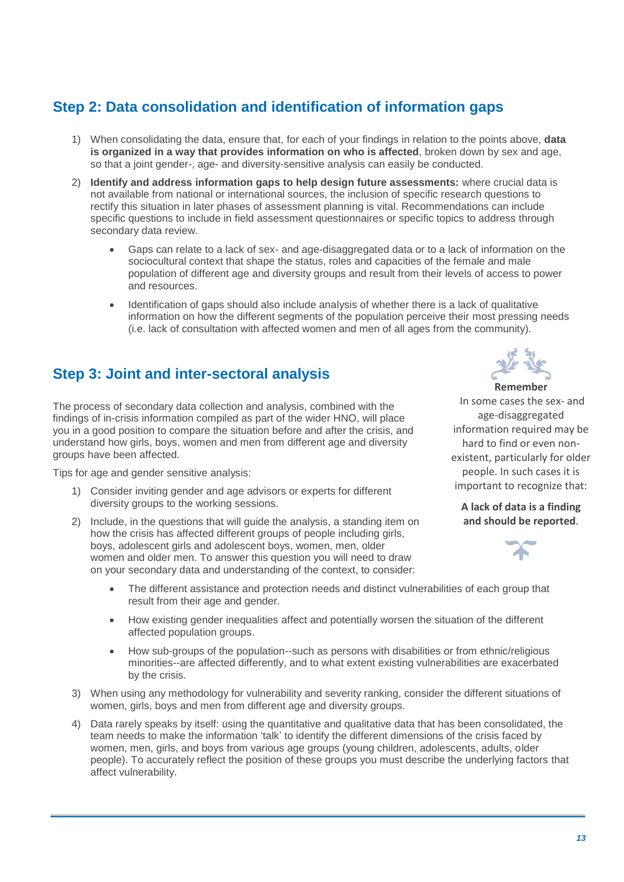# **Step 2: Data consolidation and identification of information gaps**

- 1) When consolidating the data, ensure that, for each of your findings in relation to the points above, **data is organized in a way that provides information on who is affected**, broken down by sex and age, so that a joint gender-, age- and diversity-sensitive analysis can easily be conducted.
- 2) **Identify and address information gaps to help design future assessments:** where crucial data is not available from national or international sources, the inclusion of specific research questions to rectify this situation in later phases of assessment planning is vital. Recommendations can include specific questions to include in field assessment questionnaires or specific topics to address through secondary data review.
	- Gaps can relate to a lack of sex- and age-disaggregated data or to a lack of information on the sociocultural context that shape the status, roles and capacities of the female and male population of different age and diversity groups and result from their levels of access to power and resources.
	- Identification of gaps should also include analysis of whether there is a lack of qualitative information on how the different segments of the population perceive their most pressing needs (i.e. lack of consultation with affected women and men of all ages from the community).

# **Step 3: Joint and inter-sectoral analysis**

The process of secondary data collection and analysis, combined with the findings of in-crisis information compiled as part of the wider HNO, will place you in a good position to compare the situation before and after the crisis, and understand how girls, boys, women and men from different age and diversity groups have been affected.

Tips for age and gender sensitive analysis:

- 1) Consider inviting gender and age advisors or experts for different diversity groups to the working sessions.
- 2) Include, in the questions that will guide the analysis, a standing item on how the crisis has affected different groups of people including girls, boys, adolescent girls and adolescent boys, women, men, older women and older men. To answer this question you will need to draw on your secondary data and understanding of the context, to consider:



In some cases the sex- and age-disaggregated information required may be hard to find or even nonexistent, particularly for older people. In such cases it is important to recognize that:

**A lack of data is a finding and should be reported**.



- The different assistance and protection needs and distinct vulnerabilities of each group that result from their age and gender.
- How existing gender inequalities affect and potentially worsen the situation of the different affected population groups.
- How sub-groups of the population--such as persons with disabilities or from ethnic/religious minorities--are affected differently, and to what extent existing vulnerabilities are exacerbated by the crisis.
- 3) When using any methodology for vulnerability and severity ranking, consider the different situations of women, girls, boys and men from different age and diversity groups.
- 4) Data rarely speaks by itself: using the quantitative and qualitative data that has been consolidated, the team needs to make the information 'talk' to identify the different dimensions of the crisis faced by women, men, girls, and boys from various age groups (young children, adolescents, adults, older people). To accurately reflect the position of these groups you must describe the underlying factors that affect vulnerability.